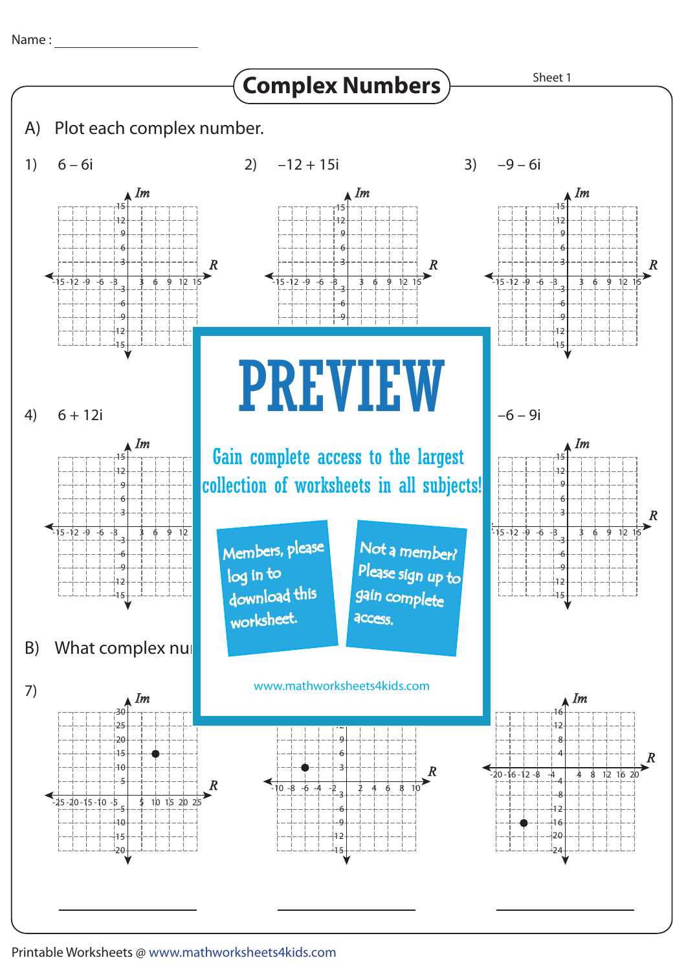